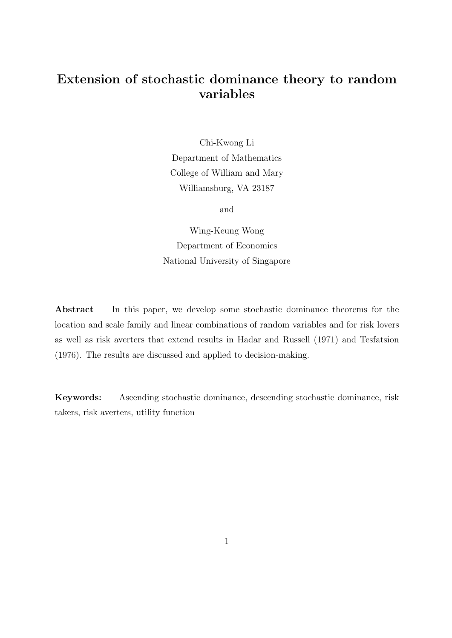# Extension of stochastic dominance theory to random variables

Chi-Kwong Li Department of Mathematics College of William and Mary Williamsburg, VA 23187

and

Wing-Keung Wong Department of Economics National University of Singapore

Abstract In this paper, we develop some stochastic dominance theorems for the location and scale family and linear combinations of random variables and for risk lovers as well as risk averters that extend results in Hadar and Russell (1971) and Tesfatsion (1976). The results are discussed and applied to decision-making.

Keywords: Ascending stochastic dominance, descending stochastic dominance, risk takers, risk averters, utility function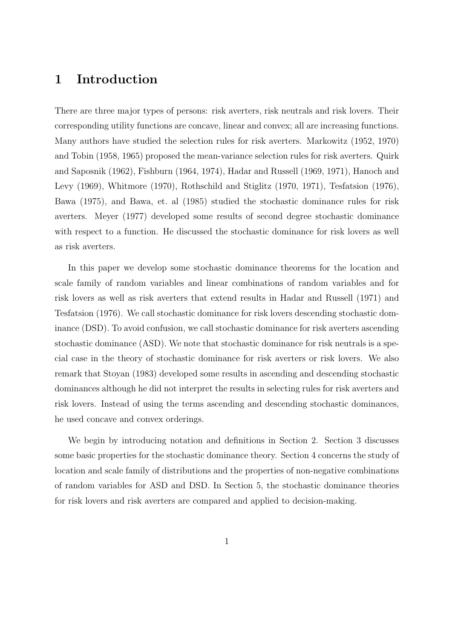## 1 Introduction

There are three major types of persons: risk averters, risk neutrals and risk lovers. Their corresponding utility functions are concave, linear and convex; all are increasing functions. Many authors have studied the selection rules for risk averters. Markowitz (1952, 1970) and Tobin (1958, 1965) proposed the mean-variance selection rules for risk averters. Quirk and Saposnik (1962), Fishburn (1964, 1974), Hadar and Russell (1969, 1971), Hanoch and Levy (1969), Whitmore (1970), Rothschild and Stiglitz (1970, 1971), Tesfatsion (1976), Bawa (1975), and Bawa, et. al (1985) studied the stochastic dominance rules for risk averters. Meyer (1977) developed some results of second degree stochastic dominance with respect to a function. He discussed the stochastic dominance for risk lovers as well as risk averters.

In this paper we develop some stochastic dominance theorems for the location and scale family of random variables and linear combinations of random variables and for risk lovers as well as risk averters that extend results in Hadar and Russell (1971) and Tesfatsion (1976). We call stochastic dominance for risk lovers descending stochastic dominance (DSD). To avoid confusion, we call stochastic dominance for risk averters ascending stochastic dominance (ASD). We note that stochastic dominance for risk neutrals is a special case in the theory of stochastic dominance for risk averters or risk lovers. We also remark that Stoyan (1983) developed some results in ascending and descending stochastic dominances although he did not interpret the results in selecting rules for risk averters and risk lovers. Instead of using the terms ascending and descending stochastic dominances, he used concave and convex orderings.

We begin by introducing notation and definitions in Section 2. Section 3 discusses some basic properties for the stochastic dominance theory. Section 4 concerns the study of location and scale family of distributions and the properties of non-negative combinations of random variables for ASD and DSD. In Section 5, the stochastic dominance theories for risk lovers and risk averters are compared and applied to decision-making.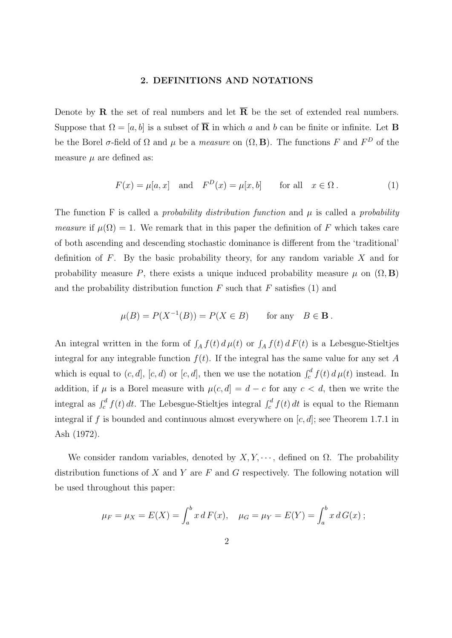#### 2. DEFINITIONS AND NOTATIONS

Denote by **R** the set of real numbers and let  $\overline{R}$  be the set of extended real numbers. Suppose that  $\Omega = [a, b]$  is a subset of  $\overline{R}$  in which a and b can be finite or infinite. Let **B** be the Borel  $\sigma$ -field of  $\Omega$  and  $\mu$  be a *measure* on  $(\Omega, \mathbf{B})$ . The functions F and  $F^D$  of the measure  $\mu$  are defined as:

$$
F(x) = \mu[a, x] \quad \text{and} \quad F^{D}(x) = \mu[x, b] \qquad \text{for all} \quad x \in \Omega. \tag{1}
$$

The function F is called a *probability distribution function* and  $\mu$  is called a *probability* measure if  $\mu(\Omega) = 1$ . We remark that in this paper the definition of F which takes care of both ascending and descending stochastic dominance is different from the 'traditional' definition of  $F$ . By the basic probability theory, for any random variable  $X$  and for probability measure P, there exists a unique induced probability measure  $\mu$  on  $(\Omega, \mathbf{B})$ and the probability distribution function  $F$  such that  $F$  satisfies (1) and

$$
\mu(B) = P(X^{-1}(B)) = P(X \in B) \quad \text{for any} \quad B \in \mathbf{B}.
$$

An integral written in the form of  $\int_A f(t) d\mu(t)$  or  $\int_A f(t) dF(t)$  is a Lebesgue-Stieltjes integral for any integrable function  $f(t)$ . If the integral has the same value for any set A which is equal to  $(c, d]$ ,  $[c, d)$  or  $[c, d]$ , then we use the notation  $\int_c^d f(t) d\mu(t)$  instead. In addition, if  $\mu$  is a Borel measure with  $\mu(c, d) = d - c$  for any  $c < d$ , then we write the integral as  $\int_c^d f(t) dt$ . The Lebesgue-Stieltjes integral  $\int_c^d f(t) dt$  is equal to the Riemann integral if f is bounded and continuous almost everywhere on  $[c, d]$ ; see Theorem 1.7.1 in Ash (1972).

We consider random variables, denoted by  $X, Y, \dots$ , defined on  $\Omega$ . The probability distribution functions of  $X$  and  $Y$  are  $F$  and  $G$  respectively. The following notation will be used throughout this paper:

$$
\mu_F = \mu_X = E(X) = \int_a^b x dF(x), \quad \mu_G = \mu_Y = E(Y) = \int_a^b x dG(x);
$$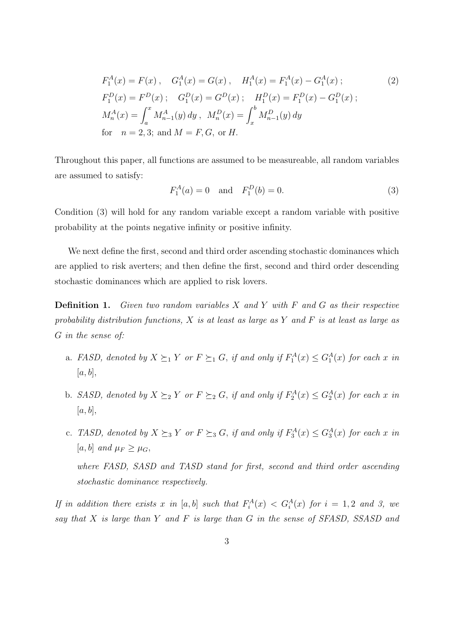$$
F_1^A(x) = F(x), \quad G_1^A(x) = G(x), \quad H_1^A(x) = F_1^A(x) - G_1^A(x);
$$
  
\n
$$
F_1^D(x) = F^D(x); \quad G_1^D(x) = G^D(x); \quad H_1^D(x) = F_1^D(x) - G_1^D(x);
$$
  
\n
$$
M_n^A(x) = \int_a^x M_{n-1}^A(y) dy, \quad M_n^D(x) = \int_x^b M_{n-1}^D(y) dy
$$
  
\nfor  $n = 2, 3$ ; and  $M = F, G$ , or  $H$ .

Throughout this paper, all functions are assumed to be measureable, all random variables are assumed to satisfy:

$$
F_1^A(a) = 0 \quad \text{and} \quad F_1^D(b) = 0. \tag{3}
$$

Condition (3) will hold for any random variable except a random variable with positive probability at the points negative infinity or positive infinity.

We next define the first, second and third order ascending stochastic dominances which are applied to risk averters; and then define the first, second and third order descending stochastic dominances which are applied to risk lovers.

**Definition 1.** Given two random variables  $X$  and  $Y$  with  $F$  and  $G$  as their respective probability distribution functions,  $X$  is at least as large as  $Y$  and  $F$  is at least as large as G in the sense of:

- a. FASD, denoted by  $X \succeq_1 Y$  or  $F \succeq_1 G$ , if and only if  $F_1^A(x) \leq G_1^A(x)$  for each x in  $[a, b],$
- b. SASD, denoted by  $X \succeq_2 Y$  or  $F \succeq_2 G$ , if and only if  $F_2^A(x) \leq G_2^A(x)$  for each x in  $[a, b],$
- c. TASD, denoted by  $X \succeq_3 Y$  or  $F \succeq_3 G$ , if and only if  $F_3^A(x) \leq G_3^A(x)$  for each x in [a, b] and  $\mu_F \geq \mu_G$ , where FASD, SASD and TASD stand for first, second and third order ascending stochastic dominance respectively.

If in addition there exists x in [a, b] such that  $F_i^A(x) < G_i^A(x)$  for  $i = 1, 2$  and 3, we say that  $X$  is large than  $Y$  and  $F$  is large than  $G$  in the sense of SFASD, SSASD and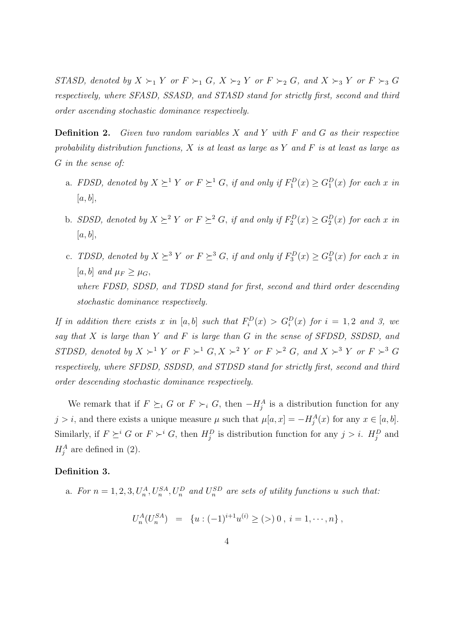STASD, denoted by  $X \succ_1 Y$  or  $F \succ_1 G$ ,  $X \succ_2 Y$  or  $F \succ_2 G$ , and  $X \succ_3 Y$  or  $F \succ_3 G$ respectively, where SFASD, SSASD, and STASD stand for strictly first, second and third order ascending stochastic dominance respectively.

**Definition 2.** Given two random variables  $X$  and  $Y$  with  $F$  and  $G$  as their respective probability distribution functions, X is at least as large as Y and F is at least as large as G in the sense of:

- a. FDSD, denoted by  $X \succeq^1 Y$  or  $F \succeq^1 G$ , if and only if  $F_1^D(x) \geq G_1^D(x)$  for each x in  $[a, b],$
- b. SDSD, denoted by  $X \succeq^2 Y$  or  $F \succeq^2 G$ , if and only if  $F_2^D(x) \geq G_2^D(x)$  for each x in  $[a, b],$
- c. TDSD, denoted by  $X \succeq^{3} Y$  or  $F \succeq^{3} G$ , if and only if  $F_3^D(x) \geq G_3^D(x)$  for each x in [a, b] and  $\mu_F \geq \mu_G$ , where FDSD, SDSD, and TDSD stand for first, second and third order descending stochastic dominance respectively.

If in addition there exists x in [a, b] such that  $F_i^D(x) > G_i^D(x)$  for  $i = 1, 2$  and 3, we say that  $X$  is large than  $Y$  and  $F$  is large than  $G$  in the sense of SFDSD, SSDSD, and STDSD, denoted by  $X \succ^1 Y$  or  $F \succ^1 G$ ,  $X \succ^2 Y$  or  $F \succ^2 G$ , and  $X \succ^3 Y$  or  $F \succ^3 G$ respectively, where SFDSD, SSDSD, and STDSD stand for strictly first, second and third order descending stochastic dominance respectively.

We remark that if  $F \succeq_i G$  or  $F \succ_i G$ , then  $-H_j^A$  is a distribution function for any j > i, and there exists a unique measure  $\mu$  such that  $\mu[a, x] = -H_j^A(x)$  for any  $x \in [a, b]$ . Similarly, if  $F \succeq^i G$  or  $F \succ^i G$ , then  $H_j^D$  is distribution function for any  $j > i$ .  $H_j^D$  and  $H_j^A$  are defined in (2).

#### Definition 3.

a. For  $n = 1, 2, 3, U_n^A, U_n^{SA}, U_n^D$  and  $U_n^{SD}$  are sets of utility functions u such that:

$$
U_n^A(U_n^{SA}) = \{ u : (-1)^{i+1} u^{(i)} \ge (>) \, 0 \, , \, i = 1, \dots, n \},
$$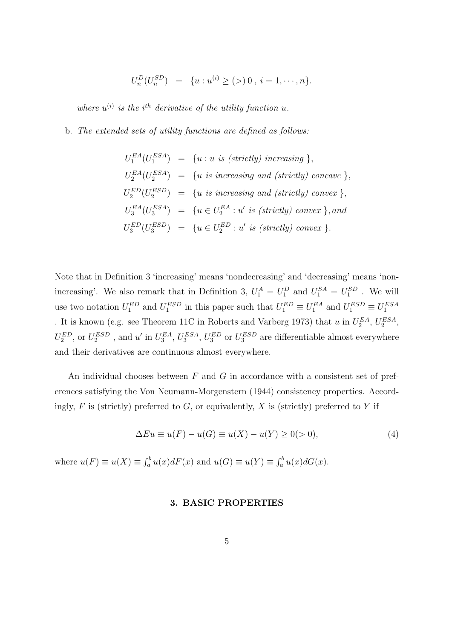$$
U_n^D(U_n^{SD}) = \{u : u^{(i)} \ge (>)\,0\,,\, i = 1, \cdots, n\}.
$$

where  $u^{(i)}$  is the i<sup>th</sup> derivative of the utility function u.

#### b. The extended sets of utility functions are defined as follows:

$$
U_1^{EA}(U_1^{ESA}) = \{u : u \text{ is (strictly) increasing }\},
$$
  
\n
$$
U_2^{EA}(U_2^{ESA}) = \{u \text{ is increasing and (strictly) concave }\},
$$
  
\n
$$
U_2^{ED}(U_2^{ESD}) = \{u \text{ is increasing and (strictly) convex }\},
$$
  
\n
$$
U_3^{EA}(U_3^{ESA}) = \{u \in U_2^{EA} : u' \text{ is (strictly) convex }\},
$$
  
\n
$$
U_3^{ED}(U_3^{ESD}) = \{u \in U_2^{EA} : u' \text{ is (strictly) convex }\},
$$

Note that in Definition 3 'increasing' means 'nondecreasing' and 'decreasing' means 'nonincreasing'. We also remark that in Definition 3,  $U_1^A = U_1^D$  and  $U_1^{SA} = U_1^{SD}$ . We will use two notation  $U_1^{ED}$  and  $U_1^{ESD}$  in this paper such that  $U_1^{ED} \equiv U_1^{EA}$  and  $U_1^{ESD} \equiv U_1^{ESA}$ . It is known (e.g. see Theorem 11C in Roberts and Varberg 1973) that u in  $U_2^{EA}$ ,  $U_2^{ESA}$ ,  $U_2^{ED}$ , or  $U_2^{ESD}$ , and u' in  $U_3^{EA}$ ,  $U_3^{ESA}$ ,  $U_3^{ED}$  or  $U_3^{ESD}$  are differentiable almost everywhere and their derivatives are continuous almost everywhere.

An individual chooses between  $F$  and  $G$  in accordance with a consistent set of preferences satisfying the Von Neumann-Morgenstern (1944) consistency properties. Accordingly,  $F$  is (strictly) preferred to  $G$ , or equivalently,  $X$  is (strictly) preferred to  $Y$  if

$$
\Delta Eu \equiv u(F) - u(G) \equiv u(X) - u(Y) \ge 0(0), \tag{4}
$$

where  $u(F) \equiv u(X) \equiv \int_a^b u(x)dF(x)$  and  $u(G) \equiv u(Y) \equiv \int_a^b u(x)dG(x)$ .

## 3. BASIC PROPERTIES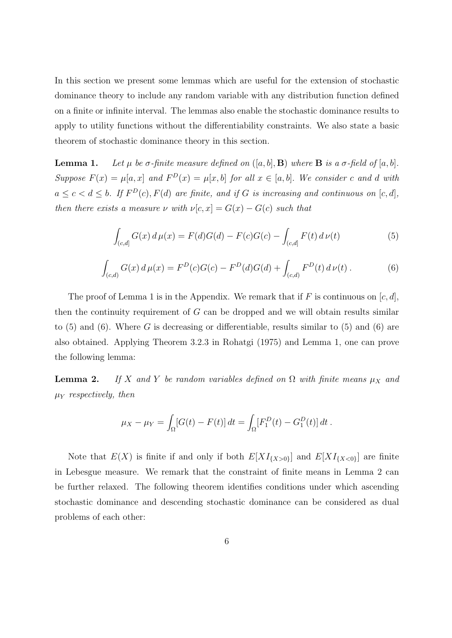In this section we present some lemmas which are useful for the extension of stochastic dominance theory to include any random variable with any distribution function defined on a finite or infinite interval. The lemmas also enable the stochastic dominance results to apply to utility functions without the differentiability constraints. We also state a basic theorem of stochastic dominance theory in this section.

**Lemma 1.** Let  $\mu$  be  $\sigma$ -finite measure defined on  $([a, b], B)$  where **B** is a  $\sigma$ -field of  $[a, b]$ . Suppose  $F(x) = \mu[a, x]$  and  $F^{D}(x) = \mu[x, b]$  for all  $x \in [a, b]$ . We consider c and d with  $a \leq c < d \leq b$ . If  $F^{D}(c)$ ,  $F(d)$  are finite, and if G is increasing and continuous on  $[c, d]$ , then there exists a measure  $\nu$  with  $\nu[c, x] = G(x) - G(c)$  such that

$$
\int_{(c,d]} G(x) d\mu(x) = F(d)G(d) - F(c)G(c) - \int_{(c,d]} F(t) d\nu(t)
$$
\n(5)

$$
\int_{(c,d)} G(x) d\mu(x) = F^{D}(c)G(c) - F^{D}(d)G(d) + \int_{(c,d)} F^{D}(t) d\nu(t).
$$
\n(6)

The proof of Lemma 1 is in the Appendix. We remark that if F is continuous on  $[c, d]$ , then the continuity requirement of  $G$  can be dropped and we will obtain results similar to  $(5)$  and  $(6)$ . Where G is decreasing or differentiable, results similar to  $(5)$  and  $(6)$  are also obtained. Applying Theorem 3.2.3 in Rohatgi (1975) and Lemma 1, one can prove the following lemma:

**Lemma 2.** If X and Y be random variables defined on  $\Omega$  with finite means  $\mu_X$  and  $\mu_Y$  respectively, then

$$
\mu_X - \mu_Y = \int_{\Omega} [G(t) - F(t)] dt = \int_{\Omega} [F_1^D(t) - G_1^D(t)] dt.
$$

Note that  $E(X)$  is finite if and only if both  $E[XI_{\{X>0\}}]$  and  $E[XI_{\{X<0\}}]$  are finite in Lebesgue measure. We remark that the constraint of finite means in Lemma 2 can be further relaxed. The following theorem identifies conditions under which ascending stochastic dominance and descending stochastic dominance can be considered as dual problems of each other: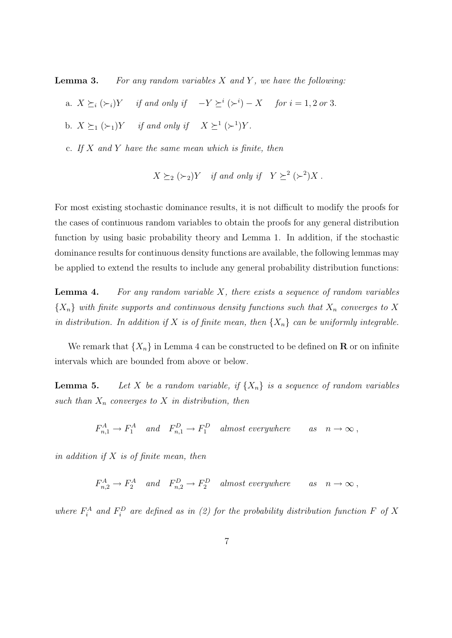**Lemma 3.** For any random variables  $X$  and  $Y$ , we have the following:

- a.  $X \succeq_i (\succeq_i) Y$  if and only if  $-Y \succeq^i (\succeq^i) X$  for  $i = 1, 2$  or 3.
- b.  $X \succeq_1 (\succ_1) Y$  if and only if  $X \succeq^1 (\succ^1) Y$ .
- c. If  $X$  and  $Y$  have the same mean which is finite, then

$$
X \succeq_2 (\succ_2) Y \quad \text{if and only if} \quad Y \succeq^2 (\succ^2) X \; .
$$

For most existing stochastic dominance results, it is not difficult to modify the proofs for the cases of continuous random variables to obtain the proofs for any general distribution function by using basic probability theory and Lemma 1. In addition, if the stochastic dominance results for continuous density functions are available, the following lemmas may be applied to extend the results to include any general probability distribution functions:

**Lemma 4.** For any random variable  $X$ , there exists a sequence of random variables  ${X_n}$  with finite supports and continuous density functions such that  $X_n$  converges to X in distribution. In addition if X is of finite mean, then  $\{X_n\}$  can be uniformly integrable.

We remark that  $\{X_n\}$  in Lemma 4 can be constructed to be defined on **R** or on infinite intervals which are bounded from above or below.

**Lemma 5.** Let X be a random variable, if  $\{X_n\}$  is a sequence of random variables such than  $X_n$  converges to X in distribution, then

$$
F_{n,1}^A \to F_1^A
$$
 and  $F_{n,1}^D \to F_1^D$  almost everywhere as  $n \to \infty$ ,

in addition if  $X$  is of finite mean, then

 $F_{n,2}^A \to F_2^A$  and  $F_{n,2}^D \to F_2^D$  almost everywhere as  $n \to \infty$ ,

where  $F_i^A$  and  $F_i^D$  are defined as in (2) for the probability distribution function F of X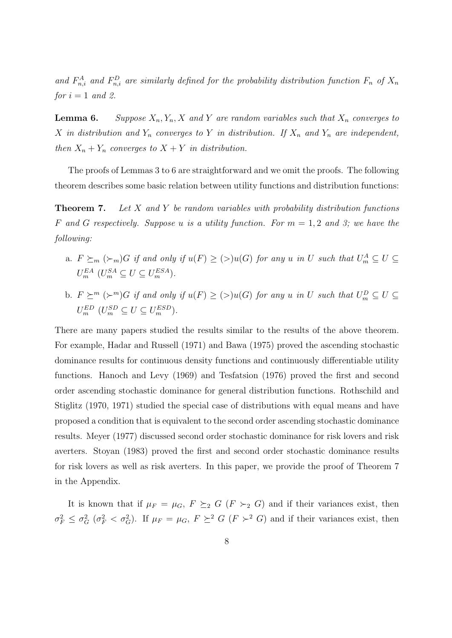and  $F_{n,i}^A$  and  $F_{n,i}^D$  are similarly defined for the probability distribution function  $F_n$  of  $X_n$ for  $i = 1$  and 2.

**Lemma 6.** Suppose  $X_n, Y_n, X$  and Y are random variables such that  $X_n$  converges to X in distribution and  $Y_n$  converges to Y in distribution. If  $X_n$  and  $Y_n$  are independent, then  $X_n + Y_n$  converges to  $X + Y$  in distribution.

The proofs of Lemmas 3 to 6 are straightforward and we omit the proofs. The following theorem describes some basic relation between utility functions and distribution functions:

**Theorem 7.** Let X and Y be random variables with probability distribution functions F and G respectively. Suppose u is a utility function. For  $m = 1, 2$  and 3; we have the following:

- a.  $F \succeq_m (\succeq_m) G$  if and only if  $u(F) \geq (\geq) u(G)$  for any u in U such that  $U_m^A \subseteq U \subseteq$  $U_m^{EA}$   $(U_m^{SA} \subseteq U \subseteq U_m^{ESA})$ .
- b.  $F \succeq^m (\succeq^m) G$  if and only if  $u(F) \geq (>)u(G)$  for any u in U such that  $U_m^D \subseteq U \subseteq$  $U_m^{ED}$   $(U_m^{SD} \subseteq U \subseteq U_m^{ESD}).$

There are many papers studied the results similar to the results of the above theorem. For example, Hadar and Russell (1971) and Bawa (1975) proved the ascending stochastic dominance results for continuous density functions and continuously differentiable utility functions. Hanoch and Levy (1969) and Tesfatsion (1976) proved the first and second order ascending stochastic dominance for general distribution functions. Rothschild and Stiglitz (1970, 1971) studied the special case of distributions with equal means and have proposed a condition that is equivalent to the second order ascending stochastic dominance results. Meyer (1977) discussed second order stochastic dominance for risk lovers and risk averters. Stoyan (1983) proved the first and second order stochastic dominance results for risk lovers as well as risk averters. In this paper, we provide the proof of Theorem 7 in the Appendix.

It is known that if  $\mu_F = \mu_G$ ,  $F \succeq_2 G (F \succ_2 G)$  and if their variances exist, then  $\sigma_F^2 \leq \sigma_G^2$  ( $\sigma_F^2 < \sigma_G^2$ ). If  $\mu_F = \mu_G$ ,  $F \succeq^2 G$  ( $F >^2 G$ ) and if their variances exist, then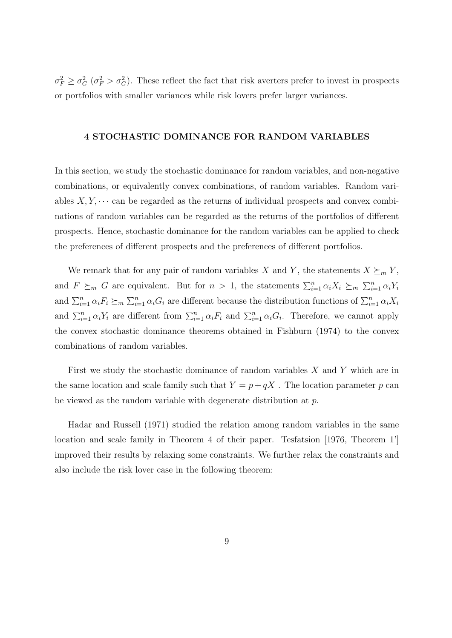$\sigma_F^2 \geq \sigma_G^2$  ( $\sigma_F^2 > \sigma_G^2$ ). These reflect the fact that risk averters prefer to invest in prospects or portfolios with smaller variances while risk lovers prefer larger variances.

#### 4 STOCHASTIC DOMINANCE FOR RANDOM VARIABLES

In this section, we study the stochastic dominance for random variables, and non-negative combinations, or equivalently convex combinations, of random variables. Random variables  $X, Y, \cdots$  can be regarded as the returns of individual prospects and convex combinations of random variables can be regarded as the returns of the portfolios of different prospects. Hence, stochastic dominance for the random variables can be applied to check the preferences of different prospects and the preferences of different portfolios.

We remark that for any pair of random variables X and Y, the statements  $X \succeq_m Y$ , and  $F \succeq_m G$  are equivalent. But for  $n > 1$ , the statements  $\sum_{i=1}^n \alpha_i X_i \succeq_m \sum_{i=1}^n \alpha_i Y_i$ and  $\sum_{i=1}^n \alpha_i F_i \succeq_m \sum_{i=1}^n \alpha_i G_i$  are different because the distribution functions of  $\sum_{i=1}^n \alpha_i X_i$ and  $\sum_{i=1}^n \alpha_i Y_i$  are different from  $\sum_{i=1}^n \alpha_i F_i$  and  $\sum_{i=1}^n \alpha_i G_i$ . Therefore, we cannot apply the convex stochastic dominance theorems obtained in Fishburn (1974) to the convex combinations of random variables.

First we study the stochastic dominance of random variables  $X$  and  $Y$  which are in the same location and scale family such that  $Y = p + qX$ . The location parameter p can be viewed as the random variable with degenerate distribution at p.

Hadar and Russell (1971) studied the relation among random variables in the same location and scale family in Theorem 4 of their paper. Tesfatsion [1976, Theorem 1'] improved their results by relaxing some constraints. We further relax the constraints and also include the risk lover case in the following theorem: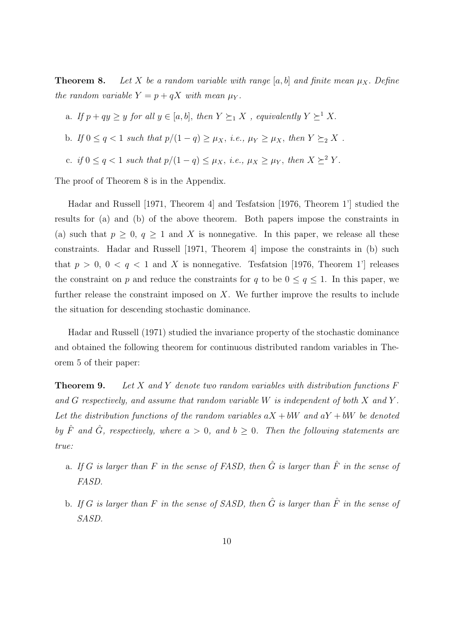**Theorem 8.** Let X be a random variable with range [a, b] and finite mean  $\mu_X$ . Define the random variable  $Y = p + qX$  with mean  $\mu_Y$ .

- a. If  $p + qy \geq y$  for all  $y \in [a, b]$ , then  $Y \succeq_1 X$ , equivalently  $Y \succeq_1 X$ .
- b. If  $0 \le q < 1$  such that  $p/(1-q) \ge \mu_X$ , i.e.,  $\mu_Y \ge \mu_X$ , then  $Y \succeq_2 X$ .
- c. if  $0 \le q < 1$  such that  $p/(1-q) \le \mu_X$ , i.e.,  $\mu_X \ge \mu_Y$ , then  $X \succeq^2 Y$ .

The proof of Theorem 8 is in the Appendix.

Hadar and Russell [1971, Theorem 4] and Tesfatsion [1976, Theorem 1'] studied the results for (a) and (b) of the above theorem. Both papers impose the constraints in (a) such that  $p \geq 0$ ,  $q \geq 1$  and X is nonnegative. In this paper, we release all these constraints. Hadar and Russell [1971, Theorem 4] impose the constraints in (b) such that  $p > 0$ ,  $0 < q < 1$  and X is nonnegative. Tesfatsion [1976, Theorem 1'] releases the constraint on p and reduce the constraints for q to be  $0 \le q \le 1$ . In this paper, we further release the constraint imposed on X. We further improve the results to include the situation for descending stochastic dominance.

Hadar and Russell (1971) studied the invariance property of the stochastic dominance and obtained the following theorem for continuous distributed random variables in Theorem 5 of their paper:

**Theorem 9.** Let X and Y denote two random variables with distribution functions  $F$ and G respectively, and assume that random variable W is independent of both X and Y . Let the distribution functions of the random variables  $aX + bW$  and  $aY + bW$  be denoted by  $\hat{F}$  and  $\hat{G}$ , respectively, where  $a > 0$ , and  $b \ge 0$ . Then the following statements are true:

- a. If G is larger than F in the sense of FASD, then  $\hat{G}$  is larger than  $\hat{F}$  in the sense of FASD.
- b. If G is larger than F in the sense of SASD, then  $\hat{G}$  is larger than  $\hat{F}$  in the sense of SASD.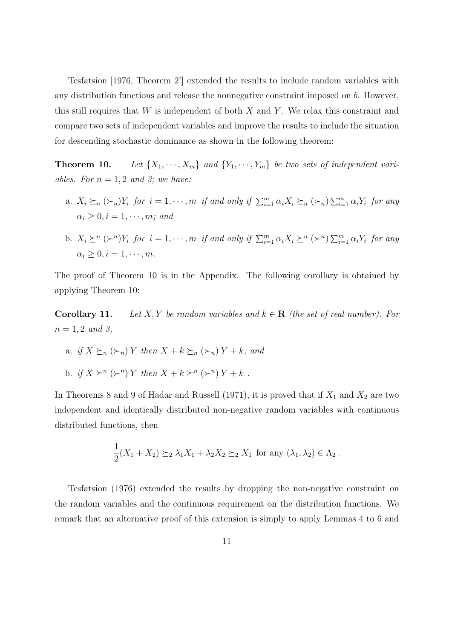Tesfatsion [1976, Theorem 2'] extended the results to include random variables with any distribution functions and release the nonnegative constraint imposed on b. However, this still requires that  $W$  is independent of both  $X$  and  $Y$ . We relax this constraint and compare two sets of independent variables and improve the results to include the situation for descending stochastic dominance as shown in the following theorem:

**Theorem 10.** Let  $\{X_1, \dots, X_m\}$  and  $\{Y_1, \dots, Y_m\}$  be two sets of independent variables. For  $n = 1, 2$  and 3; we have:

- a.  $X_i \succeq_n (\succeq_n) Y_i$  for  $i = 1, \dots, m$  if and only if  $\sum_{i=1}^m \alpha_i X_i \succeq_n (\succeq_n) \sum_{i=1}^m \alpha_i Y_i$  for any  $\alpha_i \geq 0, i = 1, \cdots, m;$  and
- b.  $X_i \succeq^n (\succeq^n) Y_i$  for  $i = 1, \dots, m$  if and only if  $\sum_{i=1}^m \alpha_i X_i \succeq^n (\succeq^n) \sum_{i=1}^m \alpha_i Y_i$  for any  $\alpha_i \geq 0, i = 1, \cdots, m$ .

The proof of Theorem 10 is in the Appendix. The following corollary is obtained by applying Theorem 10:

**Corollary 11.** Let X, Y be random variables and  $k \in \mathbb{R}$  (the set of real number). For  $n = 1, 2 \text{ and } 3,$ 

- a. if  $X \succeq_n (\succ_n) Y$  then  $X + k \succeq_n (\succ_n) Y + k$ ; and
- b. if  $X \succeq^n (\succeq^n) Y$  then  $X + k \succeq^n (\succeq^n) Y + k$ .

In Theorems 8 and 9 of Hadar and Russell (1971), it is proved that if  $X_1$  and  $X_2$  are two independent and identically distributed non-negative random variables with continuous distributed functions, then

$$
\frac{1}{2}(X_1 + X_2) \succeq_2 \lambda_1 X_1 + \lambda_2 X_2 \succeq_2 X_1 \text{ for any } (\lambda_1, \lambda_2) \in \Lambda_2.
$$

Tesfatsion (1976) extended the results by dropping the non-negative constraint on the random variables and the continuous requirement on the distribution functions. We remark that an alternative proof of this extension is simply to apply Lemmas 4 to 6 and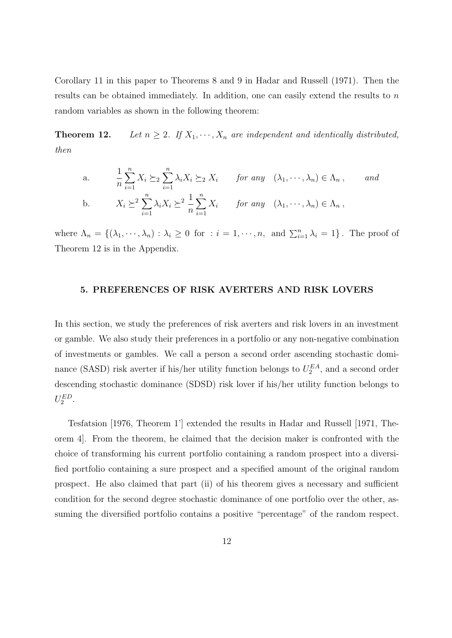Corollary 11 in this paper to Theorems 8 and 9 in Hadar and Russell (1971). Then the results can be obtained immediately. In addition, one can easily extend the results to n random variables as shown in the following theorem:

**Theorem 12.** Let  $n \geq 2$ . If  $X_1, \dots, X_n$  are independent and identically distributed, then

a. 
$$
\frac{1}{n} \sum_{i=1}^{n} X_i \succeq_2 \sum_{i=1}^{n} \lambda_i X_i \succeq_2 X_i \quad \text{for any } (\lambda_1, \dots, \lambda_n) \in \Lambda_n, \quad \text{and}
$$
  
b. 
$$
X_i \succeq^2 \sum_{i=1}^{n} \lambda_i X_i \succeq^2 \frac{1}{n} \sum_{i=1}^{n} X_i \quad \text{for any } (\lambda_1, \dots, \lambda_n) \in \Lambda_n,
$$

where  $\Lambda_n = \{(\lambda_1, \dots, \lambda_n) : \lambda_i \geq 0 \text{ for } : i = 1, \dots, n, \text{ and } \sum_{i=1}^n \lambda_i = 1\}$ . The proof of Theorem 12 is in the Appendix.

#### 5. PREFERENCES OF RISK AVERTERS AND RISK LOVERS

In this section, we study the preferences of risk averters and risk lovers in an investment or gamble. We also study their preferences in a portfolio or any non-negative combination of investments or gambles. We call a person a second order ascending stochastic dominance (SASD) risk averter if his/her utility function belongs to  $U_2^{EA}$ , and a second order descending stochastic dominance (SDSD) risk lover if his/her utility function belongs to  $U_2^{ED}$ .

Tesfatsion [1976, Theorem 1'] extended the results in Hadar and Russell [1971, Theorem 4]. From the theorem, he claimed that the decision maker is confronted with the choice of transforming his current portfolio containing a random prospect into a diversified portfolio containing a sure prospect and a specified amount of the original random prospect. He also claimed that part (ii) of his theorem gives a necessary and sufficient condition for the second degree stochastic dominance of one portfolio over the other, assuming the diversified portfolio contains a positive "percentage" of the random respect.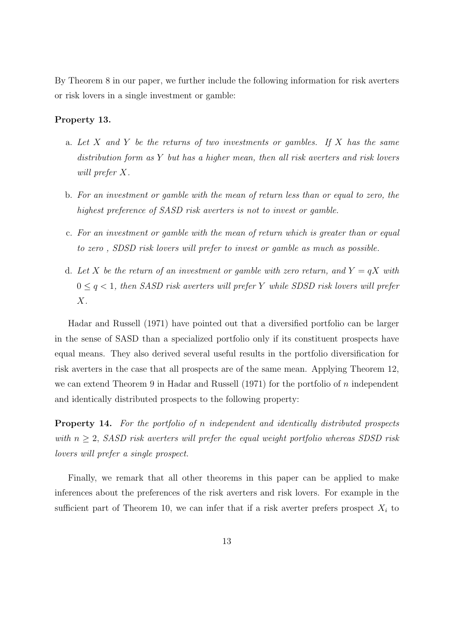By Theorem 8 in our paper, we further include the following information for risk averters or risk lovers in a single investment or gamble:

#### Property 13.

- a. Let X and Y be the returns of two investments or gambles. If X has the same distribution form as Y but has a higher mean, then all risk averters and risk lovers will prefer X.
- b. For an investment or gamble with the mean of return less than or equal to zero, the highest preference of SASD risk averters is not to invest or gamble.
- c. For an investment or gamble with the mean of return which is greater than or equal to zero , SDSD risk lovers will prefer to invest or gamble as much as possible.
- d. Let X be the return of an investment or gamble with zero return, and  $Y = qX$  with  $0 \leq q \leq 1$ , then SASD risk averters will prefer Y while SDSD risk lovers will prefer  $X$ .

Hadar and Russell (1971) have pointed out that a diversified portfolio can be larger in the sense of SASD than a specialized portfolio only if its constituent prospects have equal means. They also derived several useful results in the portfolio diversification for risk averters in the case that all prospects are of the same mean. Applying Theorem 12, we can extend Theorem 9 in Hadar and Russell (1971) for the portfolio of  $n$  independent and identically distributed prospects to the following property:

Property 14. For the portfolio of n independent and identically distributed prospects with  $n \geq 2$ , SASD risk averters will prefer the equal weight portfolio whereas SDSD risk lovers will prefer a single prospect.

Finally, we remark that all other theorems in this paper can be applied to make inferences about the preferences of the risk averters and risk lovers. For example in the sufficient part of Theorem 10, we can infer that if a risk averter prefers prospect  $X_i$  to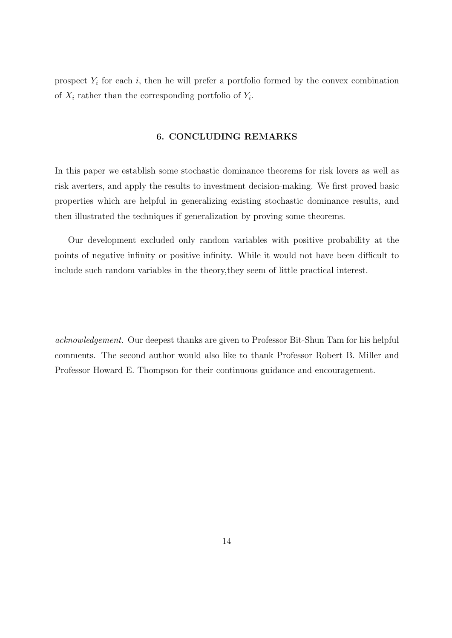prospect  $Y_i$  for each i, then he will prefer a portfolio formed by the convex combination of  $X_i$  rather than the corresponding portfolio of  $Y_i$ .

## 6. CONCLUDING REMARKS

In this paper we establish some stochastic dominance theorems for risk lovers as well as risk averters, and apply the results to investment decision-making. We first proved basic properties which are helpful in generalizing existing stochastic dominance results, and then illustrated the techniques if generalization by proving some theorems.

Our development excluded only random variables with positive probability at the points of negative infinity or positive infinity. While it would not have been difficult to include such random variables in the theory,they seem of little practical interest.

acknowledgement. Our deepest thanks are given to Professor Bit-Shun Tam for his helpful comments. The second author would also like to thank Professor Robert B. Miller and Professor Howard E. Thompson for their continuous guidance and encouragement.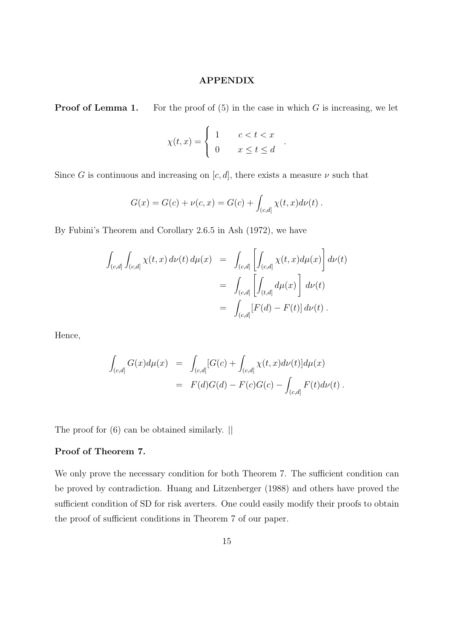## APPENDIX

**Proof of Lemma 1.** For the proof of  $(5)$  in the case in which G is increasing, we let

$$
\chi(t,x) = \begin{cases} 1 & c < t < x \\ 0 & x \le t \le d \end{cases}
$$

.

#

Since G is continuous and increasing on  $[c, d]$ , there exists a measure  $\nu$  such that

$$
G(x) = G(c) + \nu(c, x) = G(c) + \int_{(c,d]} \chi(t, x) d\nu(t) .
$$

By Fubini's Theorem and Corollary 2.6.5 in Ash (1972), we have

$$
\int_{(c,d]} \int_{(c,d]} \chi(t,x) d\nu(t) d\mu(x) = \int_{(c,d]} \left[ \int_{(c,d]} \chi(t,x) d\mu(x) \right] d\nu(t)
$$
  
= 
$$
\int_{(c,d]} \left[ \int_{(t,d]} d\mu(x) \right] d\nu(t)
$$
  
= 
$$
\int_{(c,d]} [F(d) - F(t)] d\nu(t).
$$

Hence,

$$
\int_{(c,d]} G(x) d\mu(x) = \int_{(c,d]} [G(c) + \int_{(c,d]} \chi(t,x) d\nu(t)] d\mu(x)
$$
  
=  $F(d)G(d) - F(c)G(c) - \int_{(c,d]} F(t) d\nu(t).$ 

The proof for (6) can be obtained similarly. ||

## Proof of Theorem 7.

We only prove the necessary condition for both Theorem 7. The sufficient condition can be proved by contradiction. Huang and Litzenberger (1988) and others have proved the sufficient condition of SD for risk averters. One could easily modify their proofs to obtain the proof of sufficient conditions in Theorem 7 of our paper.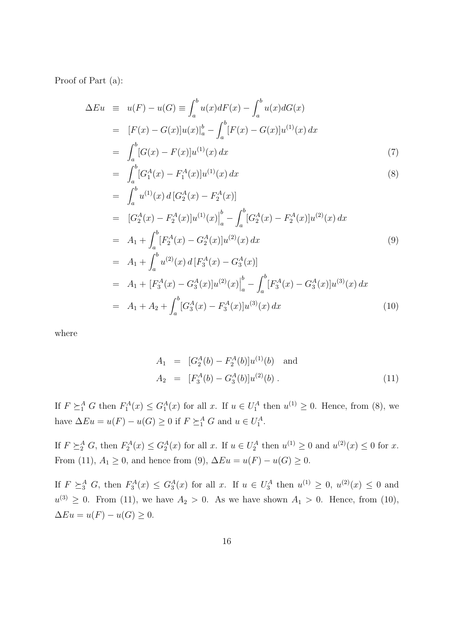Proof of Part (a):

$$
\Delta Eu = u(F) - u(G) \equiv \int_{a}^{b} u(x) dF(x) - \int_{a}^{b} u(x) dG(x)
$$
  
\n
$$
= [F(x) - G(x)]u(x)|_{a}^{b} - \int_{a}^{b} [F(x) - G(x)]u^{(1)}(x) dx
$$
  
\n
$$
= \int_{a}^{b} [G(x) - F(x)]u^{(1)}(x) dx
$$
\n(7)

$$
= \int_{a}^{b} [G_{1}^{A}(x) - F_{1}^{A}(x)]u^{(1)}(x) dx
$$
\n(8)

$$
= \int_{a}^{b} u^{(1)}(x) d\left[G_{2}^{A}(x) - F_{2}^{A}(x)\right]
$$
  
\n
$$
= [G_{2}^{A}(x) - F_{2}^{A}(x)]u^{(1)}(x)\Big|_{a}^{b} - \int_{a}^{b} [G_{2}^{A}(x) - F_{2}^{A}(x)]u^{(2)}(x) dx
$$
  
\n
$$
= A_{1} + \int_{a}^{b} [F_{2}^{A}(x) - G_{2}^{A}(x)]u^{(2)}(x) dx
$$
  
\n
$$
= A_{1} + \int_{a}^{b} u^{(2)}(x) d\left[F_{3}^{A}(x) - G_{3}^{A}(x)\right]
$$
  
\n
$$
= A_{1} + [F_{3}^{A}(x) - G_{3}^{A}(x)]u^{(2)}(x)\Big|_{a}^{b} - \int_{a}^{b} [F_{3}^{A}(x) - G_{3}^{A}(x)]u^{(3)}(x) dx
$$
  
\n
$$
= A_{1} + A_{2} + \int_{a}^{b} [G_{3}^{A}(x) - F_{3}^{A}(x)]u^{(3)}(x) dx
$$
\n(10)

where

$$
A_1 = [G_2^A(b) - F_2^A(b)]u^{(1)}(b) \text{ and}
$$
  
\n
$$
A_2 = [F_3^A(b) - G_3^A(b)]u^{(2)}(b).
$$
\n(11)

If  $F \succeq_1^A G$  then  $F_1^A(x) \leq G_1^A(x)$  for all x. If  $u \in U_1^A$  then  $u^{(1)} \geq 0$ . Hence, from (8), we have  $\Delta Eu = u(F) - u(G) \ge 0$  if  $F \succeq_1^A G$  and  $u \in U_1^A$ .

If  $F \succeq_2^A G$ , then  $F_2^A(x) \leq G_2^A(x)$  for all x. If  $u \in U_2^A$  then  $u^{(1)} \geq 0$  and  $u^{(2)}(x) \leq 0$  for x. From (11),  $A_1 \ge 0$ , and hence from (9),  $\Delta Eu = u(F) - u(G) \ge 0$ .

If  $F \succeq_3^A G$ , then  $F_3^A(x) \leq G_3^A(x)$  for all x. If  $u \in U_3^A$  then  $u^{(1)} \geq 0$ ,  $u^{(2)}(x) \leq 0$  and  $u^{(3)} \geq 0$ . From (11), we have  $A_2 > 0$ . As we have shown  $A_1 > 0$ . Hence, from (10),  $\Delta Eu = u(F) - u(G) \geq 0.$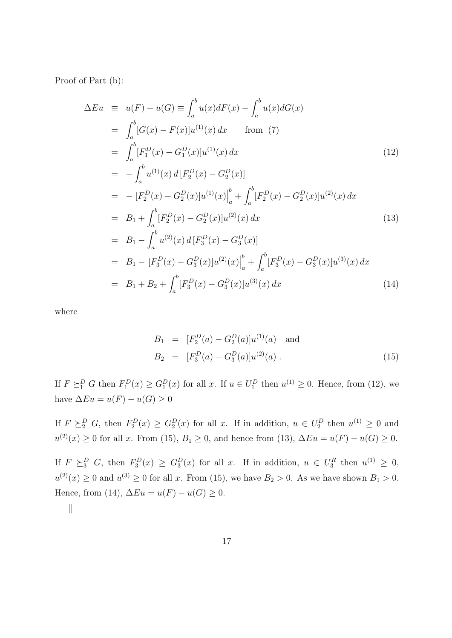Proof of Part (b):

$$
\Delta Eu = u(F) - u(G) \equiv \int_{a}^{b} u(x) dF(x) - \int_{a}^{b} u(x) dG(x)
$$
  
\n
$$
= \int_{a}^{b} [G(x) - F(x)]u^{(1)}(x) dx \qquad \text{from (7)}
$$
  
\n
$$
= \int_{a}^{b} [F_{1}^{D}(x) - G_{1}^{D}(x)]u^{(1)}(x) dx \qquad (12)
$$
  
\n
$$
= -\int_{a}^{b} u^{(1)}(x) d [F_{2}^{D}(x) - G_{2}^{D}(x)]
$$
  
\n
$$
= - [F_{2}^{D}(x) - G_{2}^{D}(x)]u^{(1)}(x)\Big|_{a}^{b} + \int_{a}^{b} [F_{2}^{D}(x) - G_{2}^{D}(x)]u^{(2)}(x) dx
$$
  
\n
$$
= B_{1} + \int_{a}^{b} [F_{2}^{D}(x) - G_{2}^{D}(x)]u^{(2)}(x) dx \qquad (13)
$$
  
\n
$$
= B_{1} - \int_{a}^{b} u^{(2)}(x) d [F_{3}^{D}(x) - G_{3}^{D}(x)]
$$
  
\n
$$
= B_{1} - [F_{3}^{D}(x) - G_{3}^{D}(x)]u^{(2)}(x)\Big|_{a}^{b} + \int_{a}^{b} [F_{3}^{D}(x) - G_{3}^{D}(x)]u^{(3)}(x) dx
$$
  
\n
$$
= B_{1} + B_{2} + \int_{a}^{b} [F_{3}^{D}(x) - G_{3}^{D}(x)]u^{(3)}(x) dx \qquad (14)
$$

where

$$
B_1 = [F_2^D(a) - G_2^D(a)]u^{(1)}(a) \text{ and}
$$
  
\n
$$
B_2 = [F_3^D(a) - G_3^D(a)]u^{(2)}(a).
$$
\n(15)

If  $F \succeq_1^D G$  then  $F_1^D(x) \ge G_1^D(x)$  for all x. If  $u \in U_1^D$  then  $u^{(1)} \ge 0$ . Hence, from (12), we have  $\Delta Eu = u(F) - u(G) \geq 0$ 

If  $F \succeq_2^D G$ , then  $F_2^D(x) \ge G_2^D(x)$  for all x. If in addition,  $u \in U_2^D$  then  $u^{(1)} \ge 0$  and  $u^{(2)}(x) \ge 0$  for all x. From (15),  $B_1 \ge 0$ , and hence from (13),  $\Delta Eu = u(F) - u(G) \ge 0$ .

If  $F \succeq_3^D G$ , then  $F_3^D(x) \geq G_3^D(x)$  for all x. If in addition,  $u \in U_3^R$  then  $u^{(1)} \geq 0$ ,  $u^{(2)}(x) \geq 0$  and  $u^{(3)} \geq 0$  for all x. From (15), we have  $B_2 > 0$ . As we have shown  $B_1 > 0$ . Hence, from (14),  $\Delta Eu = u(F) - u(G) \geq 0$ .

||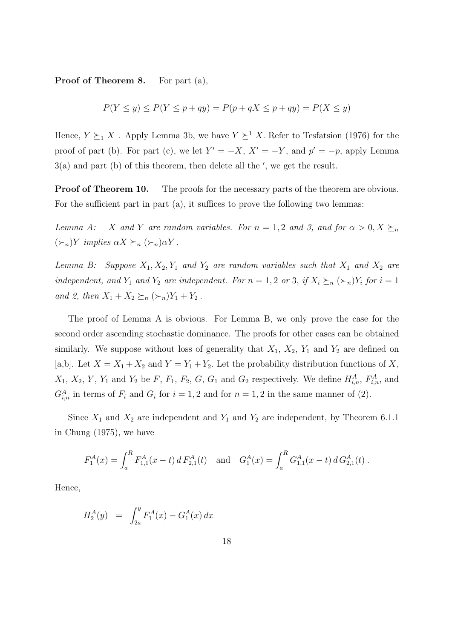Proof of Theorem 8. For part (a),

$$
P(Y \le y) \le P(Y \le p + qy) = P(p + qX \le p + qy) = P(X \le y)
$$

Hence,  $Y \succeq_1 X$ . Apply Lemma 3b, we have  $Y \succeq^1 X$ . Refer to Tesfatsion (1976) for the proof of part (b). For part (c), we let  $Y' = -X$ ,  $X' = -Y$ , and  $p' = -p$ , apply Lemma  $3(a)$  and part (b) of this theorem, then delete all the ', we get the result.

**Proof of Theorem 10.** The proofs for the necessary parts of the theorem are obvious. For the sufficient part in part (a), it suffices to prove the following two lemmas:

Lemma A: X and Y are random variables. For  $n = 1, 2$  and 3, and for  $\alpha > 0, X \succeq_n$  $(\succ_n) Y$  implies  $\alpha X \succeq_n (\succ_n) \alpha Y$ .

Lemma B: Suppose  $X_1, X_2, Y_1$  and  $Y_2$  are random variables such that  $X_1$  and  $X_2$  are independent, and  $Y_1$  and  $Y_2$  are independent. For  $n = 1, 2$  or 3, if  $X_i \succeq_n (\succeq_n) Y_i$  for  $i = 1$ and 2, then  $X_1 + X_2 \succeq_n (\succeq_n) Y_1 + Y_2$ .

The proof of Lemma A is obvious. For Lemma B, we only prove the case for the second order ascending stochastic dominance. The proofs for other cases can be obtained similarly. We suppose without loss of generality that  $X_1$ ,  $X_2$ ,  $Y_1$  and  $Y_2$  are defined on [a,b]. Let  $X = X_1 + X_2$  and  $Y = Y_1 + Y_2$ . Let the probability distribution functions of X,  $X_1, X_2, Y, Y_1$  and  $Y_2$  be F,  $F_1, F_2, G, G_1$  and  $G_2$  respectively. We define  $H_{i,n}^A, F_{i,n}^A$ , and  $G_{i,n}^A$  in terms of  $F_i$  and  $G_i$  for  $i = 1, 2$  and for  $n = 1, 2$  in the same manner of (2).

Since  $X_1$  and  $X_2$  are independent and  $Y_1$  and  $Y_2$  are independent, by Theorem 6.1.1 in Chung (1975), we have

$$
F_1^A(x) = \int_a^R F_{1,1}^A(x - t) dF_{2,1}^A(t) \text{ and } G_1^A(x) = \int_a^R G_{1,1}^A(x - t) dG_{2,1}^A(t).
$$

Hence,

$$
H_2^A(y) = \int_{2a}^y F_1^A(x) - G_1^A(x) dx
$$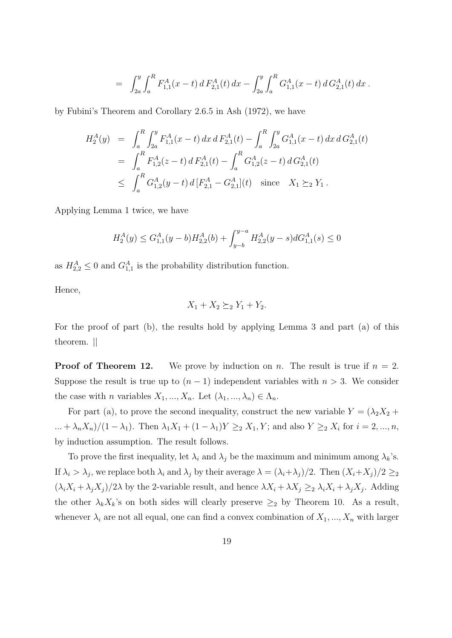$$
= \int_{2a}^{y} \int_{a}^{R} F_{1,1}^{A}(x-t) dF_{2,1}^{A}(t) dx - \int_{2a}^{y} \int_{a}^{R} G_{1,1}^{A}(x-t) dG_{2,1}^{A}(t) dx.
$$

by Fubini's Theorem and Corollary 2.6.5 in Ash (1972), we have

$$
H_2^A(y) = \int_a^R \int_{2a}^y F_{1,1}^A(x-t) dx dF_{2,1}^A(t) - \int_a^R \int_{2a}^y G_{1,1}^A(x-t) dx dG_{2,1}^A(t)
$$
  
= 
$$
\int_a^R F_{1,2}^A(z-t) dF_{2,1}^A(t) - \int_a^R G_{1,2}^A(z-t) dG_{2,1}^A(t)
$$
  

$$
\leq \int_a^R G_{1,2}^A(y-t) d[F_{2,1}^A - G_{2,1}^A](t) \text{ since } X_1 \succeq_2 Y_1.
$$

Applying Lemma 1 twice, we have

$$
H_2^A(y)\leq G^A_{1,1}(y-b)H^A_{2,2}(b)+\int_{y-b}^{y-a}H^A_{2,2}(y-s)dG^A_{1,1}(s)\leq 0
$$

as  $H_{2,2}^A \leq 0$  and  $G_{1,1}^A$  is the probability distribution function.

Hence,

$$
X_1 + X_2 \succeq_2 Y_1 + Y_2.
$$

For the proof of part (b), the results hold by applying Lemma 3 and part (a) of this theorem. ||

**Proof of Theorem 12.** We prove by induction on n. The result is true if  $n = 2$ . Suppose the result is true up to  $(n-1)$  independent variables with  $n > 3$ . We consider the case with *n* variables  $X_1, ..., X_n$ . Let  $(\lambda_1, ..., \lambda_n) \in \Lambda_n$ .

For part (a), to prove the second inequality, construct the new variable  $Y = (\lambda_2 X_2 +$  $\ldots + \lambda_n X_n)/(1 - \lambda_1)$ . Then  $\lambda_1 X_1 + (1 - \lambda_1) Y \geq_2 X_1, Y$ ; and also  $Y \geq_2 X_i$  for  $i = 2, \ldots, n$ , by induction assumption. The result follows.

To prove the first inequality, let  $\lambda_i$  and  $\lambda_j$  be the maximum and minimum among  $\lambda_k$ 's. If  $\lambda_i > \lambda_j$ , we replace both  $\lambda_i$  and  $\lambda_j$  by their average  $\lambda = (\lambda_i + \lambda_j)/2$ . Then  $(X_i + X_j)/2 \geq 2$  $(\lambda_i X_i + \lambda_j X_j)/2\lambda$  by the 2-variable result, and hence  $\lambda X_i + \lambda X_j \geq 2 \lambda_i X_i + \lambda_j X_j$ . Adding the other  $\lambda_k X_k$ 's on both sides will clearly preserve  $\geq_2$  by Theorem 10. As a result, whenever  $\lambda_i$  are not all equal, one can find a convex combination of  $X_1, ..., X_n$  with larger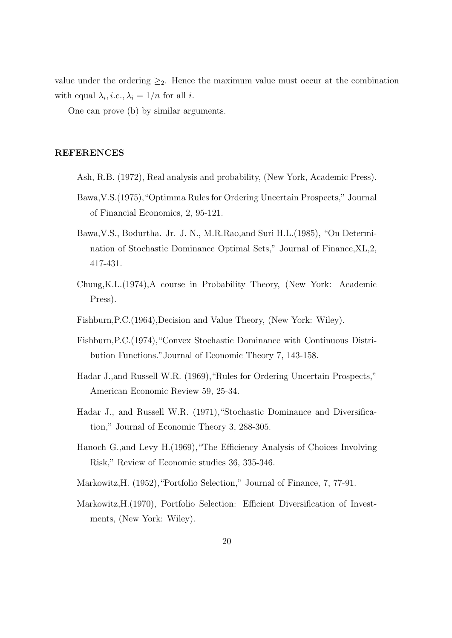value under the ordering  $\geq_2$ . Hence the maximum value must occur at the combination with equal  $\lambda_i$ , *i.e.*,  $\lambda_i = 1/n$  for all *i*.

One can prove (b) by similar arguments.

## REFERENCES

- Ash, R.B. (1972), Real analysis and probability, (New York, Academic Press).
- Bawa,V.S.(1975),"Optimma Rules for Ordering Uncertain Prospects," Journal of Financial Economics, 2, 95-121.
- Bawa,V.S., Bodurtha. Jr. J. N., M.R.Rao,and Suri H.L.(1985), "On Determination of Stochastic Dominance Optimal Sets," Journal of Finance,XL,2, 417-431.
- Chung,K.L.(1974),A course in Probability Theory, (New York: Academic Press).
- Fishburn,P.C.(1964),Decision and Value Theory, (New York: Wiley).
- Fishburn,P.C.(1974),"Convex Stochastic Dominance with Continuous Distribution Functions."Journal of Economic Theory 7, 143-158.
- Hadar J., and Russell W.R. (1969), "Rules for Ordering Uncertain Prospects," American Economic Review 59, 25-34.
- Hadar J., and Russell W.R. (1971),"Stochastic Dominance and Diversification," Journal of Economic Theory 3, 288-305.
- Hanoch G.,and Levy H.(1969),"The Efficiency Analysis of Choices Involving Risk," Review of Economic studies 36, 335-346.
- Markowitz,H. (1952),"Portfolio Selection," Journal of Finance, 7, 77-91.
- Markowitz,H.(1970), Portfolio Selection: Efficient Diversification of Investments, (New York: Wiley).